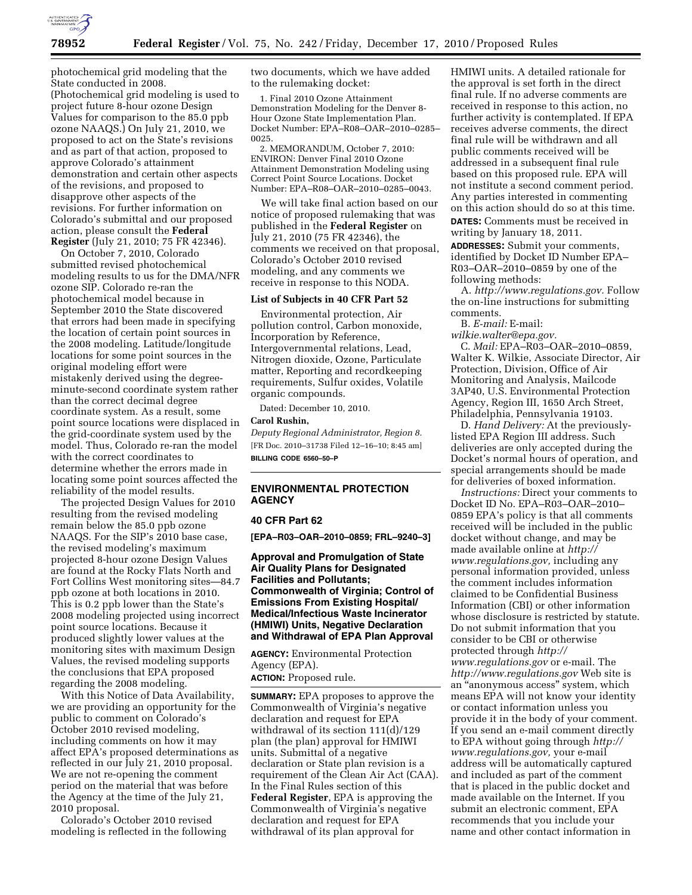

photochemical grid modeling that the State conducted in 2008. (Photochemical grid modeling is used to project future 8-hour ozone Design Values for comparison to the 85.0 ppb ozone NAAQS.) On July 21, 2010, we proposed to act on the State's revisions and as part of that action, proposed to approve Colorado's attainment demonstration and certain other aspects of the revisions, and proposed to disapprove other aspects of the revisions. For further information on Colorado's submittal and our proposed action, please consult the **Federal Register** (July 21, 2010; 75 FR 42346).

On October 7, 2010, Colorado submitted revised photochemical modeling results to us for the DMA/NFR ozone SIP. Colorado re-ran the photochemical model because in September 2010 the State discovered that errors had been made in specifying the location of certain point sources in the 2008 modeling. Latitude/longitude locations for some point sources in the original modeling effort were mistakenly derived using the degreeminute-second coordinate system rather than the correct decimal degree coordinate system. As a result, some point source locations were displaced in the grid-coordinate system used by the model. Thus, Colorado re-ran the model with the correct coordinates to determine whether the errors made in locating some point sources affected the reliability of the model results.

The projected Design Values for 2010 resulting from the revised modeling remain below the 85.0 ppb ozone NAAQS. For the SIP's 2010 base case, the revised modeling's maximum projected 8-hour ozone Design Values are found at the Rocky Flats North and Fort Collins West monitoring sites—84.7 ppb ozone at both locations in 2010. This is 0.2 ppb lower than the State's 2008 modeling projected using incorrect point source locations. Because it produced slightly lower values at the monitoring sites with maximum Design Values, the revised modeling supports the conclusions that EPA proposed regarding the 2008 modeling.

With this Notice of Data Availability, we are providing an opportunity for the public to comment on Colorado's October 2010 revised modeling, including comments on how it may affect EPA's proposed determinations as reflected in our July 21, 2010 proposal. We are not re-opening the comment period on the material that was before the Agency at the time of the July 21, 2010 proposal.

Colorado's October 2010 revised modeling is reflected in the following two documents, which we have added to the rulemaking docket:

1. Final 2010 Ozone Attainment Demonstration Modeling for the Denver 8- Hour Ozone State Implementation Plan. Docket Number: EPA–R08–OAR–2010–0285– 0025.

2. MEMORANDUM, October 7, 2010: ENVIRON: Denver Final 2010 Ozone Attainment Demonstration Modeling using Correct Point Source Locations. Docket Number: EPA–R08–OAR–2010–0285–0043.

We will take final action based on our notice of proposed rulemaking that was published in the **Federal Register** on July 21, 2010 (75 FR 42346), the comments we received on that proposal, Colorado's October 2010 revised modeling, and any comments we receive in response to this NODA.

#### **List of Subjects in 40 CFR Part 52**

Environmental protection, Air pollution control, Carbon monoxide, Incorporation by Reference, Intergovernmental relations, Lead, Nitrogen dioxide, Ozone, Particulate matter, Reporting and recordkeeping requirements, Sulfur oxides, Volatile organic compounds.

Dated: December 10, 2010.

### **Carol Rushin,**

*Deputy Regional Administrator, Region 8.*  [FR Doc. 2010–31738 Filed 12–16–10; 8:45 am] **BILLING CODE 6560–50–P** 

# **ENVIRONMENTAL PROTECTION AGENCY**

#### **40 CFR Part 62**

**[EPA–R03–OAR–2010–0859; FRL–9240–3]** 

**Approval and Promulgation of State Air Quality Plans for Designated Facilities and Pollutants; Commonwealth of Virginia; Control of Emissions From Existing Hospital/ Medical/Infectious Waste Incinerator (HMIWI) Units, Negative Declaration and Withdrawal of EPA Plan Approval** 

**AGENCY:** Environmental Protection Agency (EPA).

**ACTION:** Proposed rule.

**SUMMARY:** EPA proposes to approve the Commonwealth of Virginia's negative declaration and request for EPA withdrawal of its section 111(d)/129 plan (the plan) approval for HMIWI units. Submittal of a negative declaration or State plan revision is a requirement of the Clean Air Act (CAA). In the Final Rules section of this **Federal Register**, EPA is approving the Commonwealth of Virginia's negative declaration and request for EPA withdrawal of its plan approval for

HMIWI units. A detailed rationale for the approval is set forth in the direct final rule. If no adverse comments are received in response to this action, no further activity is contemplated. If EPA receives adverse comments, the direct final rule will be withdrawn and all public comments received will be addressed in a subsequent final rule based on this proposed rule. EPA will not institute a second comment period. Any parties interested in commenting on this action should do so at this time.

**DATES:** Comments must be received in writing by January 18, 2011.

**ADDRESSES:** Submit your comments, identified by Docket ID Number EPA– R03–OAR–2010–0859 by one of the following methods:

A. *[http://www.regulations.gov.](http://www.regulations.gov)* Follow the on-line instructions for submitting comments.

B. *E-mail:* E-mail:

*[wilkie.walter@epa.gov.](mailto:wilkie.walter@epa.gov)*  C. *Mail:* EPA–R03–OAR–2010–0859, Walter K. Wilkie, Associate Director, Air Protection, Division, Office of Air Monitoring and Analysis, Mailcode 3AP40, U.S. Environmental Protection Agency, Region III, 1650 Arch Street, Philadelphia, Pennsylvania 19103.

D. *Hand Delivery:* At the previouslylisted EPA Region III address. Such deliveries are only accepted during the Docket's normal hours of operation, and special arrangements should be made for deliveries of boxed information.

*Instructions:* Direct your comments to Docket ID No. EPA–R03–OAR–2010– 0859 EPA's policy is that all comments received will be included in the public docket without change, and may be made available online at *[http://](http://www.regulations.gov)  [www.regulations.gov,](http://www.regulations.gov)* including any personal information provided, unless the comment includes information claimed to be Confidential Business Information (CBI) or other information whose disclosure is restricted by statute. Do not submit information that you consider to be CBI or otherwise protected through *[http://](http://www.regulations.gov)  [www.regulations.gov](http://www.regulations.gov)* or e-mail. The *<http://www.regulations.gov>* Web site is an ''anonymous access'' system, which means EPA will not know your identity or contact information unless you provide it in the body of your comment. If you send an e-mail comment directly to EPA without going through *[http://](http://www.regulations.gov) [www.regulations.gov,](http://www.regulations.gov)* your e-mail address will be automatically captured and included as part of the comment that is placed in the public docket and made available on the Internet. If you submit an electronic comment, EPA recommends that you include your name and other contact information in